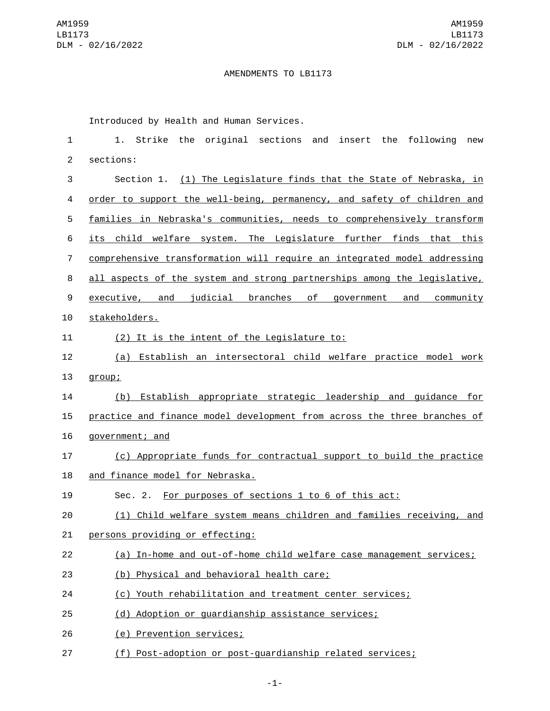## AMENDMENTS TO LB1173

Introduced by Health and Human Services.

| 1              | 1. Strike the original sections and insert the following<br>new          |
|----------------|--------------------------------------------------------------------------|
| $\overline{c}$ | sections:                                                                |
| 3              | Section 1. (1) The Legislature finds that the State of Nebraska, in      |
| 4              | order to support the well-being, permanency, and safety of children and  |
| 5              | families in Nebraska's communities, needs to comprehensively transform   |
| 6              | its child welfare system. The Legislature further finds that this        |
| $\overline{7}$ | comprehensive transformation will require an integrated model addressing |
| 8              | all aspects of the system and strong partnerships among the legislative, |
| 9              | executive, and judicial branches<br>of government and<br>community       |
| 10             | stakeholders.                                                            |
| 11             | (2) It is the intent of the Legislature to:                              |
| 12             | (a) Establish an intersectoral child welfare practice model work         |
| 13             | group;                                                                   |
| 14             | (b) Establish appropriate strategic leadership and guidance for          |
| 15             | practice and finance model development from across the three branches of |
| 16             | government; and                                                          |
| 17             | (c) Appropriate funds for contractual support to build the practice      |
| 18             | and finance model for Nebraska.                                          |
| 19             | Sec. 2. For purposes of sections 1 to 6 of this act:                     |
| 20             | (1) Child welfare system means children and families receiving, and      |
| 21             | persons providing or effecting:                                          |
| 22             | (a) In-home and out-of-home child welfare case management services;      |
| 23             | (b) Physical and behavioral health care;                                 |
| 24             | (c) Youth rehabilitation and treatment center services;                  |
| 25             | (d) Adoption or guardianship assistance services;                        |
| 26             | (e) Prevention services;                                                 |
| 27             | (f) Post-adoption or post-guardianship related services;                 |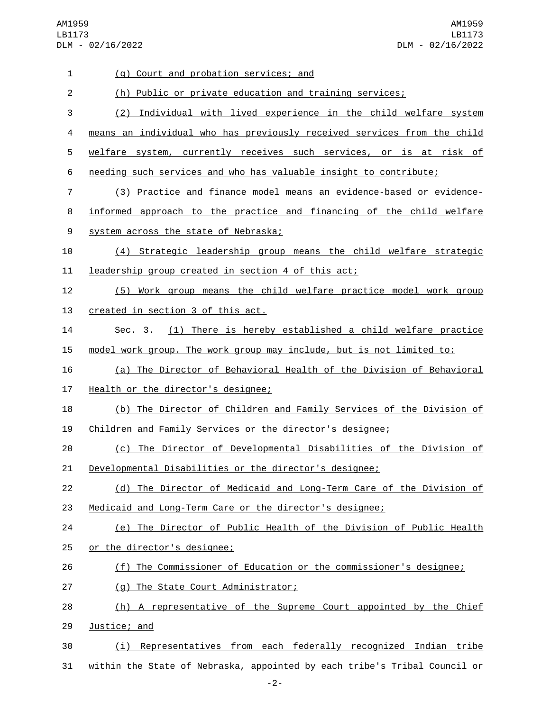AM1959 LB1173 DLM - 02/16/2022

AM1959 LB1173 DLM - 02/16/2022

| 1              | (g) Court and probation services; and                                     |
|----------------|---------------------------------------------------------------------------|
| $\overline{2}$ | (h) Public or private education and training services;                    |
| 3              | (2) Individual with lived experience in the child welfare system          |
| 4              | means an individual who has previously received services from the child   |
| 5              | welfare system, currently receives such services, or is at risk of        |
| 6              | needing such services and who has valuable insight to contribute;         |
| 7              | (3) Practice and finance model means an evidence-based or evidence-       |
| 8              | informed approach to the practice and financing of the child welfare      |
| 9              | system across the state of Nebraska;                                      |
| 10             | (4) Strategic leadership group means the child welfare strategic          |
| 11             | leadership group created in section 4 of this act;                        |
| 12             | (5) Work group means the child welfare practice model work group          |
| 13             | created in section 3 of this act.                                         |
| 14             | Sec. 3. (1) There is hereby established a child welfare practice          |
| 15             | model work group. The work group may include, but is not limited to:      |
| 16             | (a) The Director of Behavioral Health of the Division of Behavioral       |
| 17             | Health or the director's designee;                                        |
| 18             | (b) The Director of Children and Family Services of the Division of       |
| 19             | Children and Family Services or the director's designee;                  |
| 20             | (c) The Director of Developmental Disabilities of the Division of         |
| 21             | Developmental Disabilities or the director's designee;                    |
| 22             | (d) The Director of Medicaid and Long-Term Care of the Division of        |
| 23             | Medicaid and Long-Term Care or the director's designee;                   |
| 24             | (e) The Director of Public Health of the Division of Public Health        |
| 25             | or the director's designee;                                               |
| 26             | (f) The Commissioner of Education or the commissioner's designee;         |
| 27             | (g) The State Court Administrator;                                        |
| 28             | (h) A representative of the Supreme Court appointed by the Chief          |
| 29             | Justice; and                                                              |
| 30             | (i) Representatives from each federally recognized Indian tribe           |
| 31             | within the State of Nebraska, appointed by each tribe's Tribal Council or |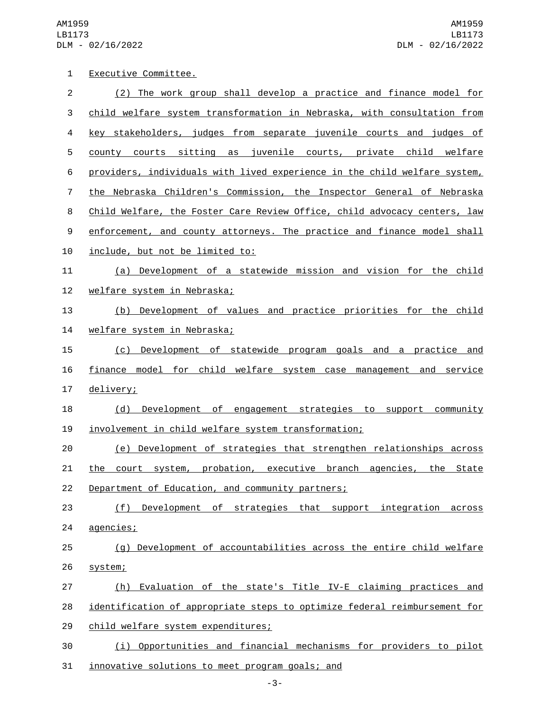AM1959 LB1173 DLM - 02/16/2022

| 1              | Executive Committee.                                                      |
|----------------|---------------------------------------------------------------------------|
| $\overline{c}$ | (2) The work group shall develop a practice and finance model for         |
| 3              | child welfare system transformation in Nebraska, with consultation from   |
| 4              | key stakeholders, judges from separate juvenile courts and judges of      |
| 5              | county courts sitting as juvenile courts, private child welfare           |
| 6              | providers, individuals with lived experience in the child welfare system, |
| $\overline{7}$ | the Nebraska Children's Commission, the Inspector General of Nebraska     |
| 8              | Child Welfare, the Foster Care Review Office, child advocacy centers, law |
| 9              | enforcement, and county attorneys. The practice and finance model shall   |
| 10             | include, but not be limited to:                                           |
| 11             | (a) Development of a statewide mission and vision for the child           |
| 12             | welfare system in Nebraska;                                               |
| 13             | (b) Development of values and practice priorities for the child           |
| 14             | welfare system in Nebraska;                                               |
| 15             | (c) Development of statewide program goals and a practice and             |
| 16             | finance model for child welfare system case management and service        |
| 17             | delivery;                                                                 |
| 18             | Development of engagement strategies to support community<br>(d)          |
| 19             | involvement in child welfare system transformation;                       |
| 20             | (e) Development of strategies that strengthen relationships across        |
| 21             | the court system, probation, executive branch agencies, the State         |
| 22             | Department of Education, and community partners;                          |
| 23             | (f)<br>Development of strategies that support integration<br>across       |
| 24             | agencies;                                                                 |
| 25             | (g) Development of accountabilities across the entire child welfare       |
| 26             | system;                                                                   |
| 27             | Evaluation of the state's Title IV-E claiming practices and<br>(h)        |
| 28             | identification of appropriate steps to optimize federal reimbursement for |
| 29             | child welfare system expenditures;                                        |
| 30             | (i) Opportunities and financial mechanisms for providers to pilot         |
| 31             | innovative solutions to meet program goals; and                           |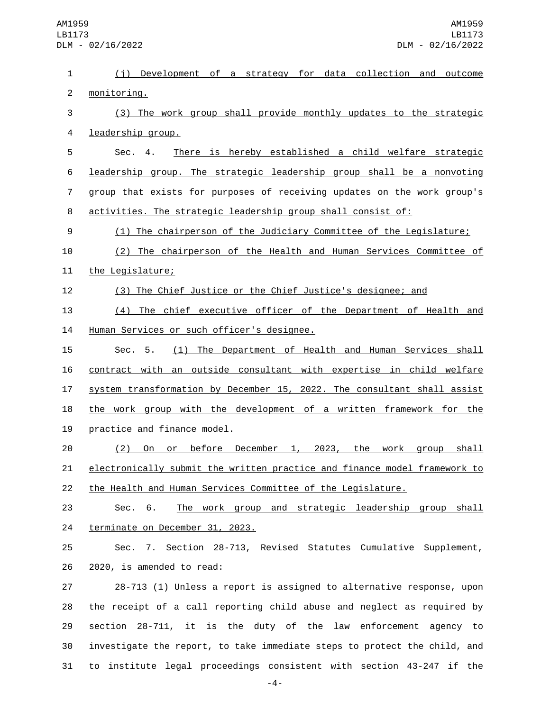| $\mathbf{1}$     | (j) Development of a strategy for data collection and outcome             |
|------------------|---------------------------------------------------------------------------|
| $\overline{2}$   | monitoring.                                                               |
| 3                | (3) The work group shall provide monthly updates to the strategic         |
| 4                | leadership group.                                                         |
| 5                | There is hereby established a child welfare strategic<br>Sec. 4.          |
| 6                | leadership group. The strategic leadership group shall be a nonvoting     |
| $\overline{7}$   | group that exists for purposes of receiving updates on the work group's   |
| 8                | activities. The strategic leadership group shall consist of:              |
| $\boldsymbol{9}$ | (1) The chairperson of the Judiciary Committee of the Legislature;        |
| 10               | (2) The chairperson of the Health and Human Services Committee of         |
| 11               | the Legislature;                                                          |
| 12               | (3) The Chief Justice or the Chief Justice's designee; and                |
| 13               | (4) The chief executive officer of the Department of Health and           |
| 14               | Human Services or such officer's designee.                                |
| 15               | (1) The Department of Health and Human Services shall<br>Sec. 5.          |
| 16               | contract with an outside consultant with expertise in child welfare       |
| 17               | system transformation by December 15, 2022. The consultant shall assist   |
| 18               | the work group with the development of a written framework for the        |
| 19               | practice and finance model.                                               |
| 20               | before December 1, 2023, the work group shall<br>(2)<br><u>On</u><br>or   |
| 21               | electronically submit the written practice and finance model framework to |
| 22               | <u>the Health and Human Services Committee of the Legislature.</u>        |
| 23               | The work group and strategic leadership group shall<br>Sec. 6.            |
| 24               | terminate on December 31, 2023.                                           |
| 25               | Sec. 7. Section 28-713, Revised Statutes Cumulative Supplement,           |
| 26               | 2020, is amended to read:                                                 |
| 27               | 28-713 (1) Unless a report is assigned to alternative response, upon      |
| 28               | the receipt of a call reporting child abuse and neglect as required by    |
| 29               | section 28-711, it is the duty of the law enforcement agency to           |
| 30               | investigate the report, to take immediate steps to protect the child, and |
| 31               | to institute legal proceedings consistent with section 43-247 if the      |

-4-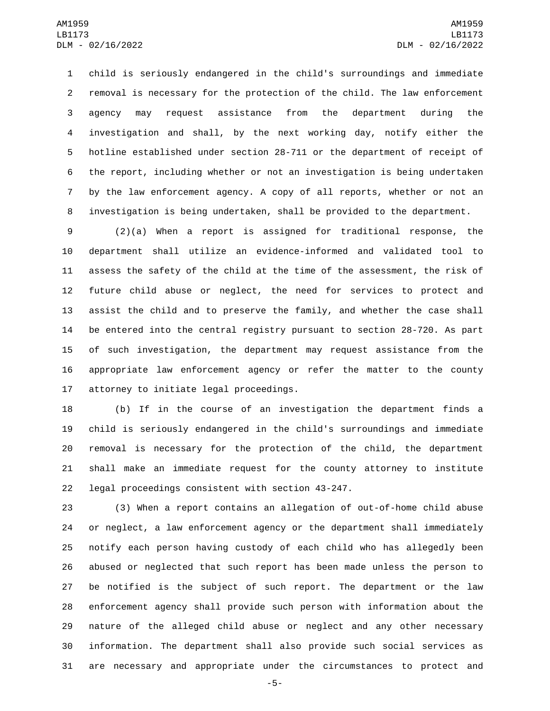child is seriously endangered in the child's surroundings and immediate removal is necessary for the protection of the child. The law enforcement agency may request assistance from the department during the investigation and shall, by the next working day, notify either the hotline established under section 28-711 or the department of receipt of the report, including whether or not an investigation is being undertaken by the law enforcement agency. A copy of all reports, whether or not an investigation is being undertaken, shall be provided to the department.

 (2)(a) When a report is assigned for traditional response, the department shall utilize an evidence-informed and validated tool to assess the safety of the child at the time of the assessment, the risk of future child abuse or neglect, the need for services to protect and assist the child and to preserve the family, and whether the case shall be entered into the central registry pursuant to section 28-720. As part of such investigation, the department may request assistance from the appropriate law enforcement agency or refer the matter to the county 17 attorney to initiate legal proceedings.

 (b) If in the course of an investigation the department finds a child is seriously endangered in the child's surroundings and immediate removal is necessary for the protection of the child, the department shall make an immediate request for the county attorney to institute 22 legal proceedings consistent with section 43-247.

 (3) When a report contains an allegation of out-of-home child abuse or neglect, a law enforcement agency or the department shall immediately notify each person having custody of each child who has allegedly been abused or neglected that such report has been made unless the person to be notified is the subject of such report. The department or the law enforcement agency shall provide such person with information about the nature of the alleged child abuse or neglect and any other necessary information. The department shall also provide such social services as are necessary and appropriate under the circumstances to protect and

-5-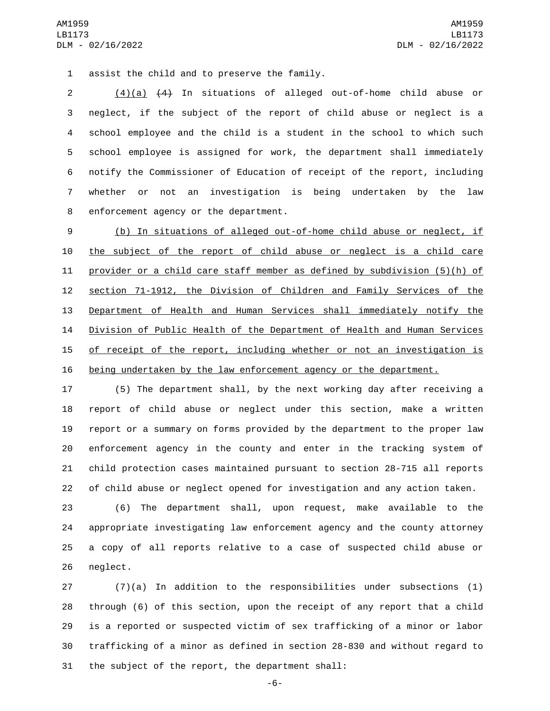1 assist the child and to preserve the family.

 (4)(a) (4) In situations of alleged out-of-home child abuse or neglect, if the subject of the report of child abuse or neglect is a school employee and the child is a student in the school to which such school employee is assigned for work, the department shall immediately notify the Commissioner of Education of receipt of the report, including whether or not an investigation is being undertaken by the law 8 enforcement agency or the department.

 (b) In situations of alleged out-of-home child abuse or neglect, if the subject of the report of child abuse or neglect is a child care provider or a child care staff member as defined by subdivision (5)(h) of section 71-1912, the Division of Children and Family Services of the Department of Health and Human Services shall immediately notify the Division of Public Health of the Department of Health and Human Services 15 of receipt of the report, including whether or not an investigation is being undertaken by the law enforcement agency or the department.

 (5) The department shall, by the next working day after receiving a report of child abuse or neglect under this section, make a written report or a summary on forms provided by the department to the proper law enforcement agency in the county and enter in the tracking system of child protection cases maintained pursuant to section 28-715 all reports of child abuse or neglect opened for investigation and any action taken.

 (6) The department shall, upon request, make available to the appropriate investigating law enforcement agency and the county attorney a copy of all reports relative to a case of suspected child abuse or 26 neglect.

 (7)(a) In addition to the responsibilities under subsections (1) through (6) of this section, upon the receipt of any report that a child is a reported or suspected victim of sex trafficking of a minor or labor trafficking of a minor as defined in section 28-830 and without regard to 31 the subject of the report, the department shall:

-6-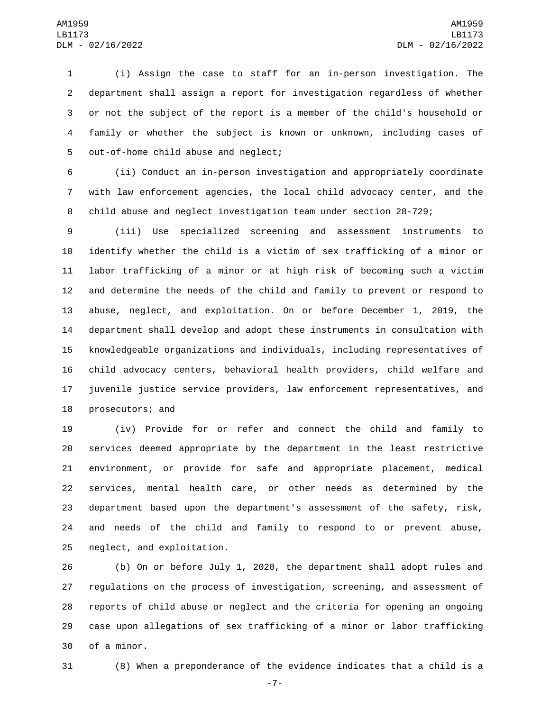(i) Assign the case to staff for an in-person investigation. The department shall assign a report for investigation regardless of whether or not the subject of the report is a member of the child's household or family or whether the subject is known or unknown, including cases of 5 out-of-home child abuse and neglect;

 (ii) Conduct an in-person investigation and appropriately coordinate with law enforcement agencies, the local child advocacy center, and the child abuse and neglect investigation team under section 28-729;

 (iii) Use specialized screening and assessment instruments to identify whether the child is a victim of sex trafficking of a minor or labor trafficking of a minor or at high risk of becoming such a victim and determine the needs of the child and family to prevent or respond to abuse, neglect, and exploitation. On or before December 1, 2019, the department shall develop and adopt these instruments in consultation with knowledgeable organizations and individuals, including representatives of child advocacy centers, behavioral health providers, child welfare and juvenile justice service providers, law enforcement representatives, and 18 prosecutors; and

 (iv) Provide for or refer and connect the child and family to services deemed appropriate by the department in the least restrictive environment, or provide for safe and appropriate placement, medical services, mental health care, or other needs as determined by the department based upon the department's assessment of the safety, risk, and needs of the child and family to respond to or prevent abuse, 25 neglect, and exploitation.

 (b) On or before July 1, 2020, the department shall adopt rules and regulations on the process of investigation, screening, and assessment of reports of child abuse or neglect and the criteria for opening an ongoing case upon allegations of sex trafficking of a minor or labor trafficking 30 of a minor.

(8) When a preponderance of the evidence indicates that a child is a

-7-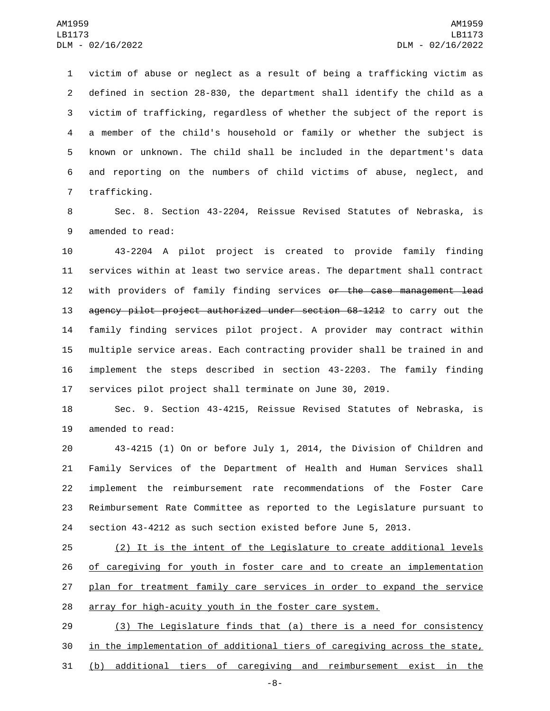victim of abuse or neglect as a result of being a trafficking victim as defined in section 28-830, the department shall identify the child as a victim of trafficking, regardless of whether the subject of the report is a member of the child's household or family or whether the subject is known or unknown. The child shall be included in the department's data and reporting on the numbers of child victims of abuse, neglect, and 7 trafficking.

 Sec. 8. Section 43-2204, Reissue Revised Statutes of Nebraska, is 9 amended to read:

 43-2204 A pilot project is created to provide family finding services within at least two service areas. The department shall contract 12 with providers of family finding services <del>or the case management lead</del> agency pilot project authorized under section 68-1212 to carry out the family finding services pilot project. A provider may contract within multiple service areas. Each contracting provider shall be trained in and implement the steps described in section 43-2203. The family finding services pilot project shall terminate on June 30, 2019.

 Sec. 9. Section 43-4215, Reissue Revised Statutes of Nebraska, is 19 amended to read:

 43-4215 (1) On or before July 1, 2014, the Division of Children and Family Services of the Department of Health and Human Services shall implement the reimbursement rate recommendations of the Foster Care Reimbursement Rate Committee as reported to the Legislature pursuant to section 43-4212 as such section existed before June 5, 2013.

 (2) It is the intent of the Legislature to create additional levels 26 of caregiving for youth in foster care and to create an implementation 27 plan for treatment family care services in order to expand the service array for high-acuity youth in the foster care system.

 (3) The Legislature finds that (a) there is a need for consistency 30 in the implementation of additional tiers of caregiving across the state, (b) additional tiers of caregiving and reimbursement exist in the

-8-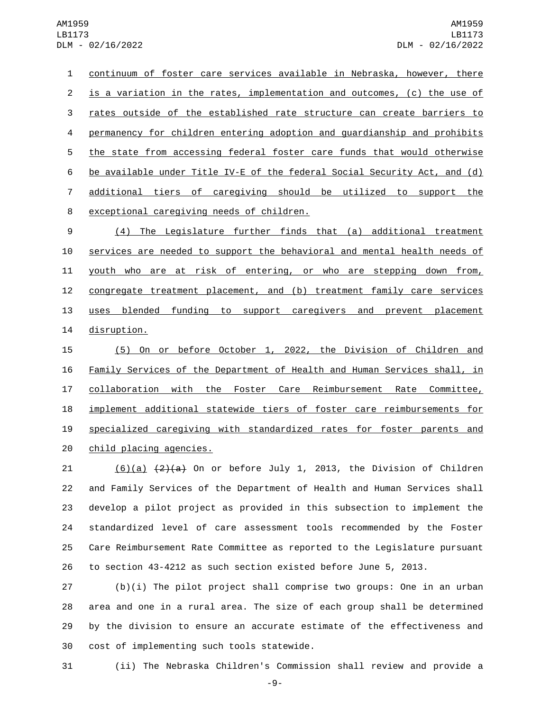continuum of foster care services available in Nebraska, however, there 2 is a variation in the rates, implementation and outcomes, (c) the use of 3 rates outside of the established rate structure can create barriers to permanency for children entering adoption and guardianship and prohibits the state from accessing federal foster care funds that would otherwise be available under Title IV-E of the federal Social Security Act, and (d) additional tiers of caregiving should be utilized to support the 8 exceptional caregiving needs of children.

9 (4) The Legislature further finds that (a) additional treatment 10 services are needed to support the behavioral and mental health needs of 11 youth who are at risk of entering, or who are stepping down from, 12 congregate treatment placement, and (b) treatment family care services 13 uses blended funding to support caregivers and prevent placement 14 disruption.

 (5) On or before October 1, 2022, the Division of Children and Family Services of the Department of Health and Human Services shall, in collaboration with the Foster Care Reimbursement Rate Committee, implement additional statewide tiers of foster care reimbursements for specialized caregiving with standardized rates for foster parents and 20 child placing agencies.

 $(6)(a)$   $(2)(a)$  on or before July 1, 2013, the Division of Children and Family Services of the Department of Health and Human Services shall develop a pilot project as provided in this subsection to implement the standardized level of care assessment tools recommended by the Foster Care Reimbursement Rate Committee as reported to the Legislature pursuant to section 43-4212 as such section existed before June 5, 2013.

 (b)(i) The pilot project shall comprise two groups: One in an urban area and one in a rural area. The size of each group shall be determined by the division to ensure an accurate estimate of the effectiveness and 30 cost of implementing such tools statewide.

31 (ii) The Nebraska Children's Commission shall review and provide a

-9-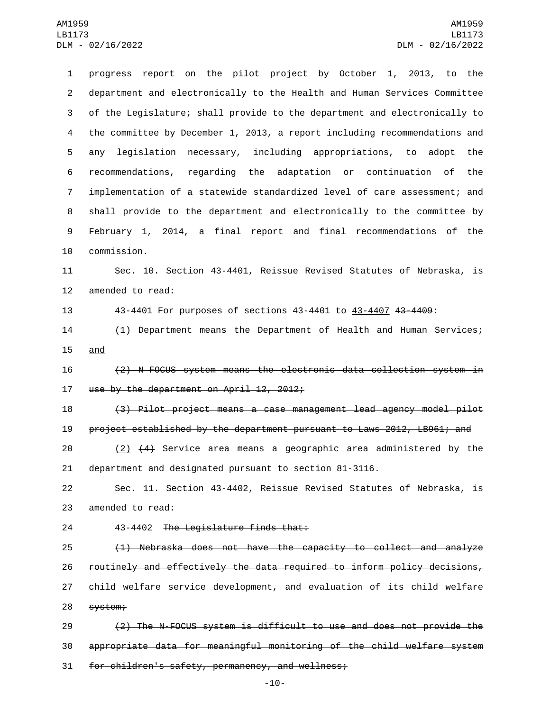progress report on the pilot project by October 1, 2013, to the department and electronically to the Health and Human Services Committee of the Legislature; shall provide to the department and electronically to the committee by December 1, 2013, a report including recommendations and any legislation necessary, including appropriations, to adopt the recommendations, regarding the adaptation or continuation of the implementation of a statewide standardized level of care assessment; and shall provide to the department and electronically to the committee by February 1, 2014, a final report and final recommendations of the 10 commission.

 Sec. 10. Section 43-4401, Reissue Revised Statutes of Nebraska, is 12 amended to read:

43-4401 For purposes of sections 43-4401 to 43-4407 43-4409:

 (1) Department means the Department of Health and Human Services; 15 and

 (2) N-FOCUS system means the electronic data collection system in 17 use by the department on April 12, 2012;

 (3) Pilot project means a case management lead agency model pilot project established by the department pursuant to Laws 2012, LB961; and

 (2) (4) Service area means a geographic area administered by the department and designated pursuant to section 81-3116.

 Sec. 11. Section 43-4402, Reissue Revised Statutes of Nebraska, is 23 amended to read:

24 43-4402 The Legislature finds that:

 (1) Nebraska does not have the capacity to collect and analyze routinely and effectively the data required to inform policy decisions, child welfare service development, and evaluation of its child welfare 28 system;

 (2) The N-FOCUS system is difficult to use and does not provide the appropriate data for meaningful monitoring of the child welfare system 31 for children's safety, permanency, and wellness;

-10-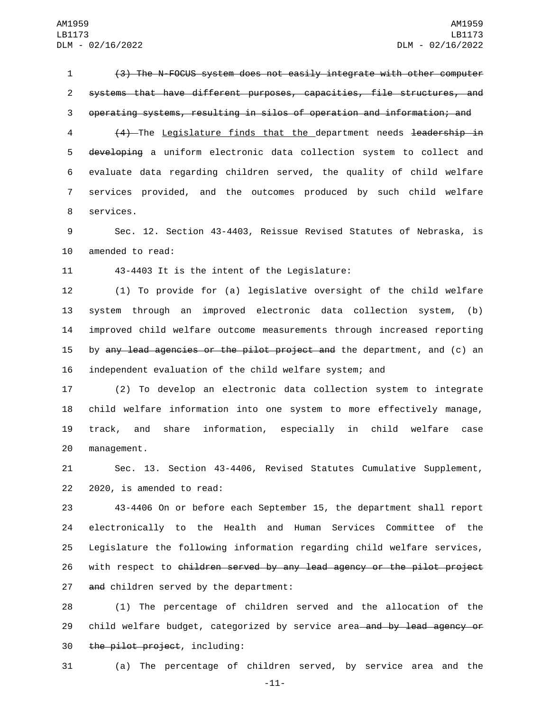1 (3) The N-FOCUS system does not easily integrate with other computer 2 systems that have different purposes, capacities, file structures, and 3 operating systems, resulting in silos of operation and information; and

4 (4) The Legislature finds that the department needs leadership in 5 developing a uniform electronic data collection system to collect and 6 evaluate data regarding children served, the quality of child welfare 7 services provided, and the outcomes produced by such child welfare 8 services.

9 Sec. 12. Section 43-4403, Reissue Revised Statutes of Nebraska, is 10 amended to read:

11 43-4403 It is the intent of the Legislature:

 (1) To provide for (a) legislative oversight of the child welfare system through an improved electronic data collection system, (b) improved child welfare outcome measurements through increased reporting 15 by any lead agencies or the pilot project and the department, and (c) an independent evaluation of the child welfare system; and

 (2) To develop an electronic data collection system to integrate child welfare information into one system to more effectively manage, track, and share information, especially in child welfare case 20 management.

21 Sec. 13. Section 43-4406, Revised Statutes Cumulative Supplement,  $22$   $2020$ , is amended to read:

23 43-4406 On or before each September 15, the department shall report 24 electronically to the Health and Human Services Committee of the 25 Legislature the following information regarding child welfare services, 26 with respect to children served by any lead agency or the pilot project 27 and children served by the department:

28 (1) The percentage of children served and the allocation of the 29 child welfare budget, categorized by service area—and by lead agency or 30 the pilot project, including:

31 (a) The percentage of children served, by service area and the

-11-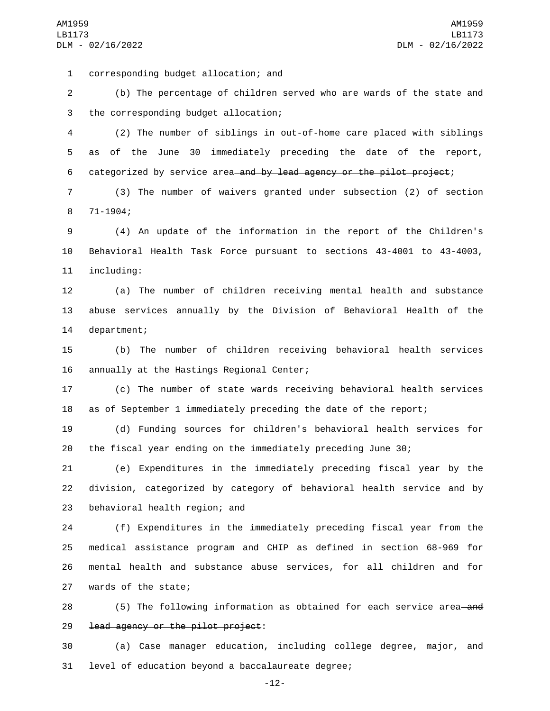corresponding budget allocation; and1

2 (b) The percentage of children served who are wards of the state and 3 the corresponding budget allocation;

4 (2) The number of siblings in out-of-home care placed with siblings 5 as of the June 30 immediately preceding the date of the report, 6 categorized by service area and by lead agency or the pilot project;

7 (3) The number of waivers granted under subsection (2) of section 71-1904;8

9 (4) An update of the information in the report of the Children's 10 Behavioral Health Task Force pursuant to sections 43-4001 to 43-4003, 11 including:

12 (a) The number of children receiving mental health and substance 13 abuse services annually by the Division of Behavioral Health of the 14 department;

15 (b) The number of children receiving behavioral health services 16 annually at the Hastings Regional Center;

17 (c) The number of state wards receiving behavioral health services 18 as of September 1 immediately preceding the date of the report;

19 (d) Funding sources for children's behavioral health services for 20 the fiscal year ending on the immediately preceding June 30;

21 (e) Expenditures in the immediately preceding fiscal year by the 22 division, categorized by category of behavioral health service and by 23 behavioral health region; and

 (f) Expenditures in the immediately preceding fiscal year from the medical assistance program and CHIP as defined in section 68-969 for mental health and substance abuse services, for all children and for 27 wards of the state;

28 (5) The following information as obtained for each service area—and 29 lead agency or the pilot project:

30 (a) Case manager education, including college degree, major, and 31 level of education beyond a baccalaureate degree;

-12-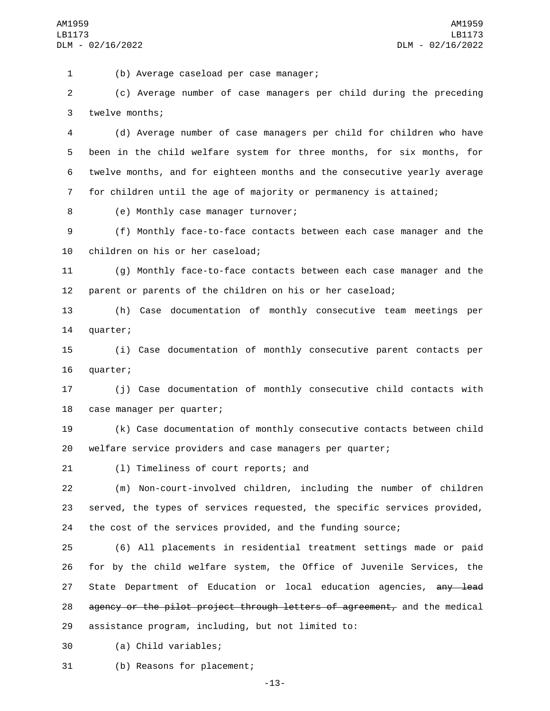(b) Average caseload per case manager;1

2 (c) Average number of case managers per child during the preceding 3 twelve months;

 (d) Average number of case managers per child for children who have been in the child welfare system for three months, for six months, for twelve months, and for eighteen months and the consecutive yearly average for children until the age of majority or permanency is attained;

8 (e) Monthly case manager turnover;

9 (f) Monthly face-to-face contacts between each case manager and the 10 children on his or her caseload;

11 (g) Monthly face-to-face contacts between each case manager and the 12 parent or parents of the children on his or her caseload;

13 (h) Case documentation of monthly consecutive team meetings per 14 quarter;

15 (i) Case documentation of monthly consecutive parent contacts per 16 quarter;

17 (j) Case documentation of monthly consecutive child contacts with 18 case manager per quarter;

19 (k) Case documentation of monthly consecutive contacts between child 20 welfare service providers and case managers per quarter;

21 (1) Timeliness of court reports; and

22 (m) Non-court-involved children, including the number of children 23 served, the types of services requested, the specific services provided, 24 the cost of the services provided, and the funding source;

25 (6) All placements in residential treatment settings made or paid 26 for by the child welfare system, the Office of Juvenile Services, the 27 State Department of Education or local education agencies, any lead 28 agency or the pilot project through letters of agreement, and the medical 29 assistance program, including, but not limited to:

(a) Child variables;30

31 (b) Reasons for placement;

-13-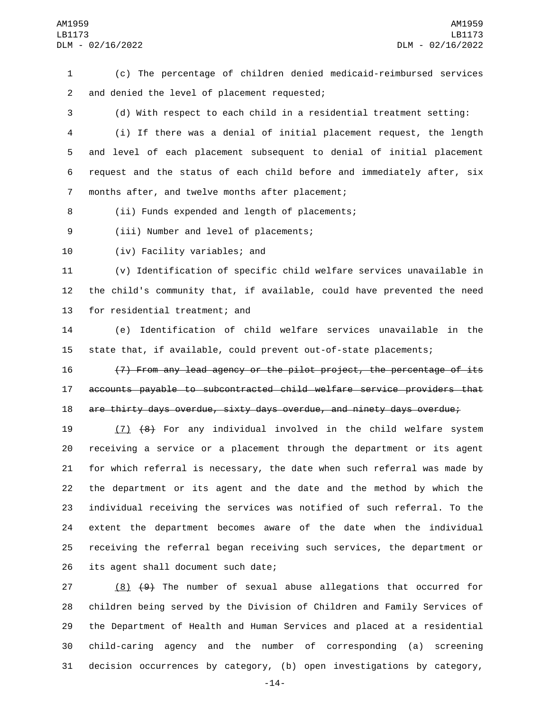(c) The percentage of children denied medicaid-reimbursed services and denied the level of placement requested;2

 (d) With respect to each child in a residential treatment setting: (i) If there was a denial of initial placement request, the length and level of each placement subsequent to denial of initial placement request and the status of each child before and immediately after, six 7 months after, and twelve months after placement;

8 (ii) Funds expended and length of placements;

9 (iii) Number and level of placements;

10 (iv) Facility variables; and

 (v) Identification of specific child welfare services unavailable in the child's community that, if available, could have prevented the need 13 for residential treatment; and

 (e) Identification of child welfare services unavailable in the state that, if available, could prevent out-of-state placements;

 (7) From any lead agency or the pilot project, the percentage of its accounts payable to subcontracted child welfare service providers that are thirty days overdue, sixty days overdue, and ninety days overdue;

 (7) (8) For any individual involved in the child welfare system receiving a service or a placement through the department or its agent for which referral is necessary, the date when such referral was made by the department or its agent and the date and the method by which the individual receiving the services was notified of such referral. To the extent the department becomes aware of the date when the individual receiving the referral began receiving such services, the department or 26 its agent shall document such date;

 (8) (9) The number of sexual abuse allegations that occurred for children being served by the Division of Children and Family Services of the Department of Health and Human Services and placed at a residential child-caring agency and the number of corresponding (a) screening decision occurrences by category, (b) open investigations by category,

-14-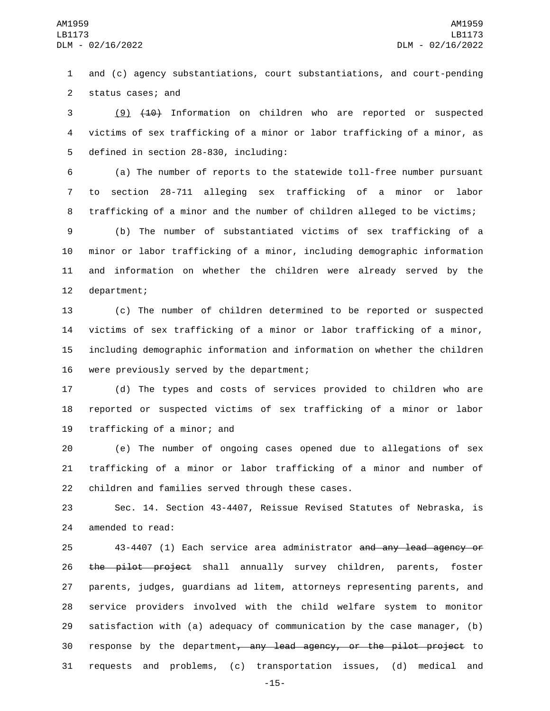1 and (c) agency substantiations, court substantiations, and court-pending 2 status cases; and

3 (9) (10) Information on children who are reported or suspected 4 victims of sex trafficking of a minor or labor trafficking of a minor, as 5 defined in section 28-830, including:

6 (a) The number of reports to the statewide toll-free number pursuant 7 to section 28-711 alleging sex trafficking of a minor or labor 8 trafficking of a minor and the number of children alleged to be victims;

 (b) The number of substantiated victims of sex trafficking of a minor or labor trafficking of a minor, including demographic information and information on whether the children were already served by the 12 department;

 (c) The number of children determined to be reported or suspected victims of sex trafficking of a minor or labor trafficking of a minor, including demographic information and information on whether the children 16 were previously served by the department;

17 (d) The types and costs of services provided to children who are 18 reported or suspected victims of sex trafficking of a minor or labor 19 trafficking of a minor; and

20 (e) The number of ongoing cases opened due to allegations of sex 21 trafficking of a minor or labor trafficking of a minor and number of 22 children and families served through these cases.

23 Sec. 14. Section 43-4407, Reissue Revised Statutes of Nebraska, is 24 amended to read:

 43-4407 (1) Each service area administrator and any lead agency or 26 the pilot project shall annually survey children, parents, foster parents, judges, guardians ad litem, attorneys representing parents, and service providers involved with the child welfare system to monitor satisfaction with (a) adequacy of communication by the case manager, (b) 30 response by the department<del>, any lead agency, or the pilot project</del> to requests and problems, (c) transportation issues, (d) medical and

-15-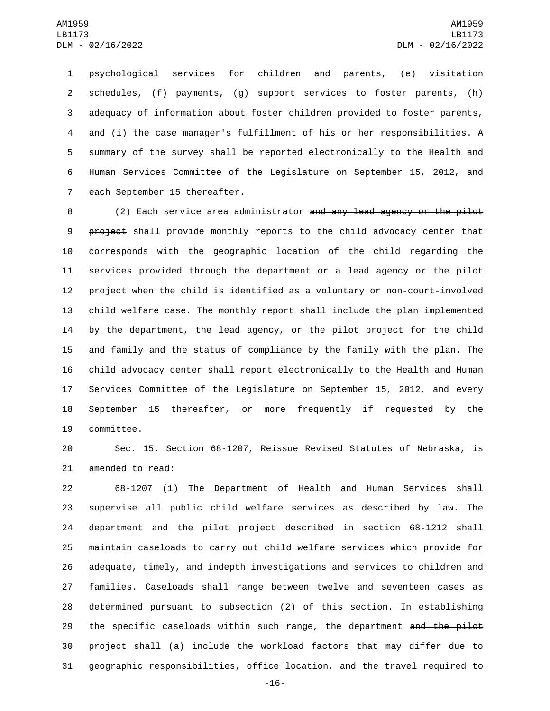psychological services for children and parents, (e) visitation schedules, (f) payments, (g) support services to foster parents, (h) adequacy of information about foster children provided to foster parents, and (i) the case manager's fulfillment of his or her responsibilities. A summary of the survey shall be reported electronically to the Health and Human Services Committee of the Legislature on September 15, 2012, and 7 each September 15 thereafter.

8 (2) Each service area administrator <del>and any lead agency or the pilot</del> 9 project shall provide monthly reports to the child advocacy center that 10 corresponds with the geographic location of the child regarding the 11 services provided through the department or a lead agency or the pilot 12 project when the child is identified as a voluntary or non-court-involved 13 child welfare case. The monthly report shall include the plan implemented 14 by the department<del>, the lead agency, or the pilot project</del> for the child 15 and family and the status of compliance by the family with the plan. The 16 child advocacy center shall report electronically to the Health and Human 17 Services Committee of the Legislature on September 15, 2012, and every 18 September 15 thereafter, or more frequently if requested by the 19 committee.

20 Sec. 15. Section 68-1207, Reissue Revised Statutes of Nebraska, is 21 amended to read:

 68-1207 (1) The Department of Health and Human Services shall supervise all public child welfare services as described by law. The department and the pilot project described in section 68-1212 shall maintain caseloads to carry out child welfare services which provide for adequate, timely, and indepth investigations and services to children and families. Caseloads shall range between twelve and seventeen cases as determined pursuant to subsection (2) of this section. In establishing 29 the specific caseloads within such range, the department and the pilot project shall (a) include the workload factors that may differ due to geographic responsibilities, office location, and the travel required to

-16-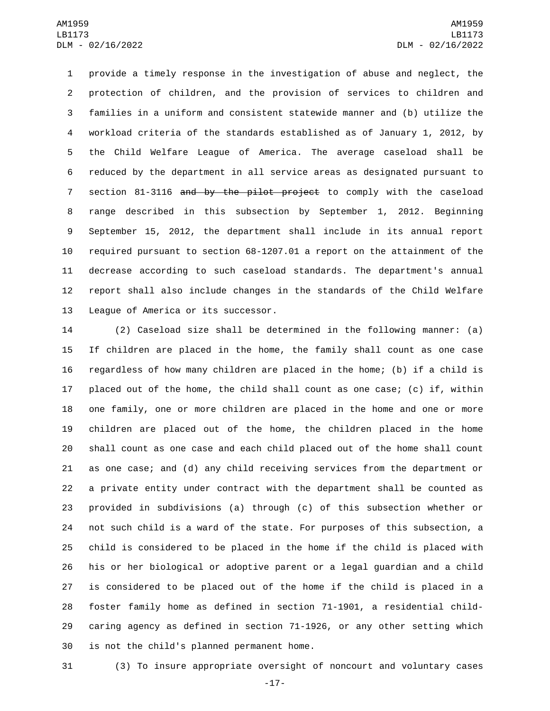provide a timely response in the investigation of abuse and neglect, the protection of children, and the provision of services to children and families in a uniform and consistent statewide manner and (b) utilize the workload criteria of the standards established as of January 1, 2012, by the Child Welfare League of America. The average caseload shall be reduced by the department in all service areas as designated pursuant to 7 section 81-3116 and by the pilot project to comply with the caseload range described in this subsection by September 1, 2012. Beginning September 15, 2012, the department shall include in its annual report required pursuant to section 68-1207.01 a report on the attainment of the decrease according to such caseload standards. The department's annual report shall also include changes in the standards of the Child Welfare 13 League of America or its successor.

 (2) Caseload size shall be determined in the following manner: (a) If children are placed in the home, the family shall count as one case regardless of how many children are placed in the home; (b) if a child is placed out of the home, the child shall count as one case; (c) if, within one family, one or more children are placed in the home and one or more children are placed out of the home, the children placed in the home shall count as one case and each child placed out of the home shall count as one case; and (d) any child receiving services from the department or a private entity under contract with the department shall be counted as provided in subdivisions (a) through (c) of this subsection whether or not such child is a ward of the state. For purposes of this subsection, a child is considered to be placed in the home if the child is placed with his or her biological or adoptive parent or a legal guardian and a child is considered to be placed out of the home if the child is placed in a foster family home as defined in section 71-1901, a residential child- caring agency as defined in section 71-1926, or any other setting which 30 is not the child's planned permanent home.

(3) To insure appropriate oversight of noncourt and voluntary cases

-17-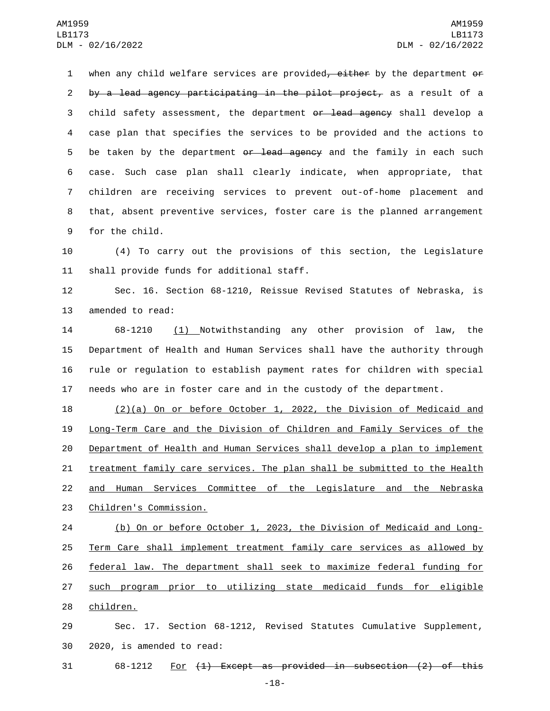1 when any child welfare services are provided, either by the department or 2 by a lead agency participating in the pilot project, as a result of a 3 child safety assessment, the department o<del>r lead agency</del> shall develop a 4 case plan that specifies the services to be provided and the actions to 5 be taken by the department <del>or lead agency</del> and the family in each such 6 case. Such case plan shall clearly indicate, when appropriate, that 7 children are receiving services to prevent out-of-home placement and 8 that, absent preventive services, foster care is the planned arrangement 9 for the child.

10 (4) To carry out the provisions of this section, the Legislature 11 shall provide funds for additional staff.

12 Sec. 16. Section 68-1210, Reissue Revised Statutes of Nebraska, is 13 amended to read:

 68-1210 (1) Notwithstanding any other provision of law, the Department of Health and Human Services shall have the authority through rule or regulation to establish payment rates for children with special needs who are in foster care and in the custody of the department.

 (2)(a) On or before October 1, 2022, the Division of Medicaid and Long-Term Care and the Division of Children and Family Services of the Department of Health and Human Services shall develop a plan to implement 21 treatment family care services. The plan shall be submitted to the Health and Human Services Committee of the Legislature and the Nebraska 23 Children's Commission.

 (b) On or before October 1, 2023, the Division of Medicaid and Long- Term Care shall implement treatment family care services as allowed by federal law. The department shall seek to maximize federal funding for such program prior to utilizing state medicaid funds for eligible 28 children.

29 Sec. 17. Section 68-1212, Revised Statutes Cumulative Supplement, 30 2020, is amended to read:

 $31$  68-1212 For  $\{1\}$  Except as provided in subsection  $(2)$  of this

-18-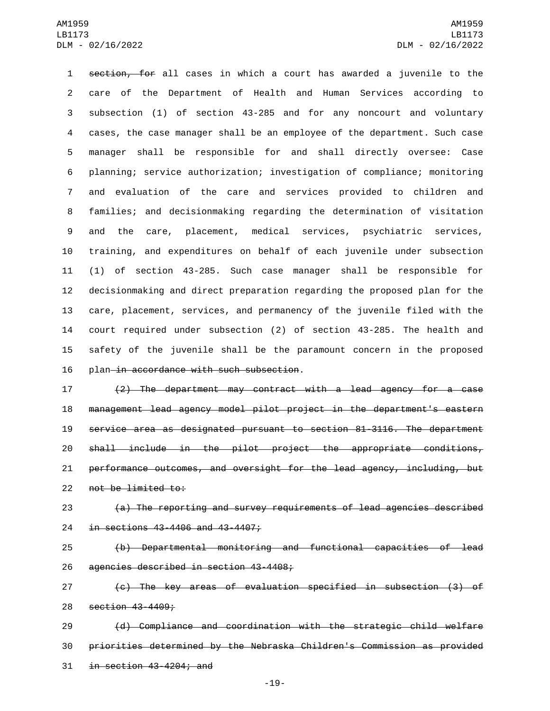section, for all cases in which a court has awarded a juvenile to the care of the Department of Health and Human Services according to subsection (1) of section 43-285 and for any noncourt and voluntary cases, the case manager shall be an employee of the department. Such case manager shall be responsible for and shall directly oversee: Case planning; service authorization; investigation of compliance; monitoring and evaluation of the care and services provided to children and families; and decisionmaking regarding the determination of visitation and the care, placement, medical services, psychiatric services, training, and expenditures on behalf of each juvenile under subsection (1) of section 43-285. Such case manager shall be responsible for decisionmaking and direct preparation regarding the proposed plan for the care, placement, services, and permanency of the juvenile filed with the court required under subsection (2) of section 43-285. The health and safety of the juvenile shall be the paramount concern in the proposed 16 plan in accordance with such subsection.

 (2) The department may contract with a lead agency for a case management lead agency model pilot project in the department's eastern service area as designated pursuant to section 81-3116. The department shall include in the pilot project the appropriate conditions, performance outcomes, and oversight for the lead agency, including, but 22 not be limited to:

 (a) The reporting and survey requirements of lead agencies described 24 in sections 43-4406 and 43-4407;

 (b) Departmental monitoring and functional capacities of lead 26 agencies described in section 43-4408;

 (c) The key areas of evaluation specified in subsection (3) of 28 section 43-4409;

 (d) Compliance and coordination with the strategic child welfare priorities determined by the Nebraska Children's Commission as provided in section  $43-4204$ ; and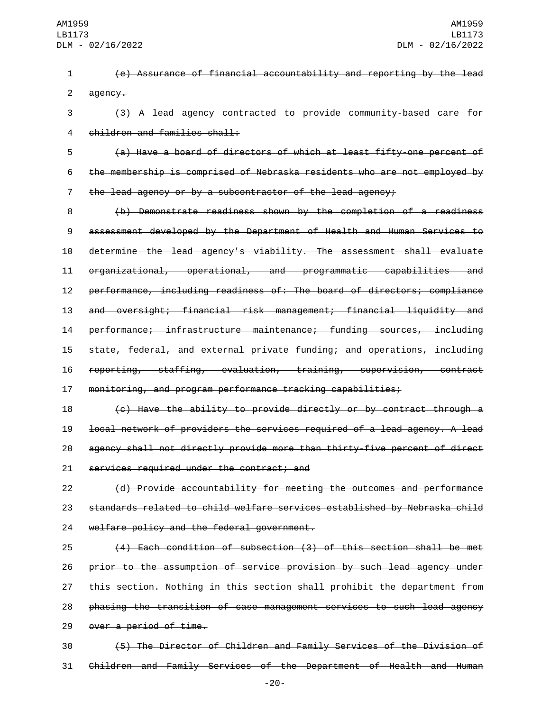(e) Assurance of financial accountability and reporting by the lead 2 agency.

 (3) A lead agency contracted to provide community-based care for 4 children and families shall:

 (a) Have a board of directors of which at least fifty-one percent of the membership is comprised of Nebraska residents who are not employed by the lead agency or by a subcontractor of the lead agency;

 (b) Demonstrate readiness shown by the completion of a readiness assessment developed by the Department of Health and Human Services to determine the lead agency's viability. The assessment shall evaluate organizational, operational, and programmatic capabilities and performance, including readiness of: The board of directors; compliance and oversight; financial risk management; financial liquidity and performance; infrastructure maintenance; funding sources, including state, federal, and external private funding; and operations, including reporting, staffing, evaluation, training, supervision, contract monitoring, and program performance tracking capabilities;

 (c) Have the ability to provide directly or by contract through a local network of providers the services required of a lead agency. A lead agency shall not directly provide more than thirty-five percent of direct 21 services required under the contract; and

 (d) Provide accountability for meeting the outcomes and performance standards related to child welfare services established by Nebraska child 24 welfare policy and the federal government.

 (4) Each condition of subsection (3) of this section shall be met prior to the assumption of service provision by such lead agency under this section. Nothing in this section shall prohibit the department from phasing the transition of case management services to such lead agency 29 over a period of time.

 (5) The Director of Children and Family Services of the Division of Children and Family Services of the Department of Health and Human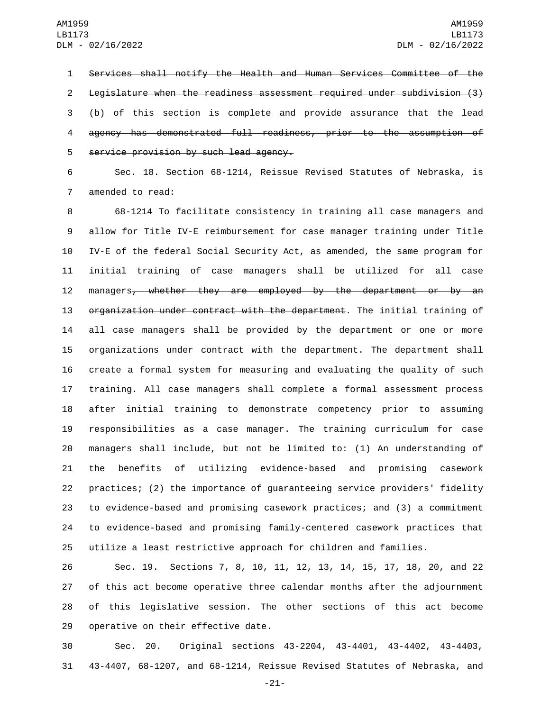Services shall notify the Health and Human Services Committee of the Legislature when the readiness assessment required under subdivision (3) (b) of this section is complete and provide assurance that the lead agency has demonstrated full readiness, prior to the assumption of 5 service provision by such lead agency.

 Sec. 18. Section 68-1214, Reissue Revised Statutes of Nebraska, is 7 amended to read:

 68-1214 To facilitate consistency in training all case managers and allow for Title IV-E reimbursement for case manager training under Title IV-E of the federal Social Security Act, as amended, the same program for initial training of case managers shall be utilized for all case 12 managers<del>, whether they are employed by the department or by an</del> 13 organization under contract with the department. The initial training of all case managers shall be provided by the department or one or more organizations under contract with the department. The department shall create a formal system for measuring and evaluating the quality of such training. All case managers shall complete a formal assessment process after initial training to demonstrate competency prior to assuming responsibilities as a case manager. The training curriculum for case managers shall include, but not be limited to: (1) An understanding of the benefits of utilizing evidence-based and promising casework practices; (2) the importance of guaranteeing service providers' fidelity to evidence-based and promising casework practices; and (3) a commitment to evidence-based and promising family-centered casework practices that utilize a least restrictive approach for children and families.

 Sec. 19. Sections 7, 8, 10, 11, 12, 13, 14, 15, 17, 18, 20, and 22 of this act become operative three calendar months after the adjournment of this legislative session. The other sections of this act become 29 operative on their effective date.

 Sec. 20. Original sections 43-2204, 43-4401, 43-4402, 43-4403, 43-4407, 68-1207, and 68-1214, Reissue Revised Statutes of Nebraska, and

-21-